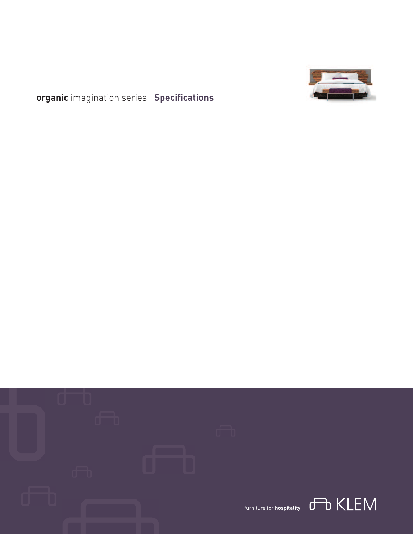

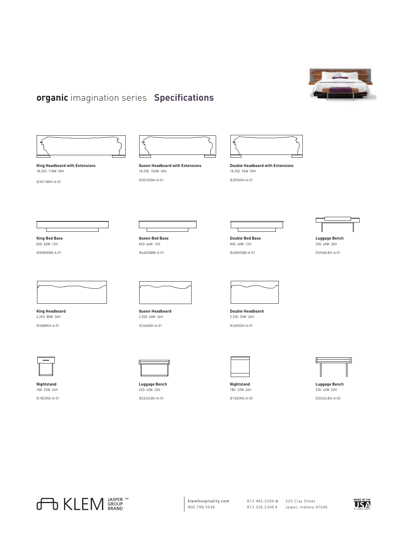



**King Headboard with Extensions** 18.25D 118W 30H

IE30118KH-A-01

**King Bed Base** 83D 82W 12H IE8283KBB-A-01



**Queen Headboard with Extensions** 18.25D 102W 30H IE30102QH-A-01



**Double Headboard with Extensions** 18.25D 96W 30H

IE3096DH-A-01



**Luggage Bench** 25D 60W 20H IE2560LBU-A-01



**King Headboard** 2.25D 80W 26H IE2680KH-A-01



**Nightstand** 18D 22W 24H IE1822NS-A-01



**Queen Headboard** 2.25D 60W 26H IE2660QH-A-01

**Queen Bed Base** 83D 66W 12H IE6683QBB-A-01



**Luggage Bench** 22D 42W 22H IE2242LBU-A-01



**Double Bed Base** 83D 60W 12H IE6083DBB-A-01

**Double Headboard** 2.25D 55W 26H IE2655DH-A-01



**Nightstand** 18D 22W 24H IE1822NS-A-02



**Luggage Bench** 22D 42W 22H IE2242LBU-A-02



klemhospitality.com 800.798.5536

225 Clay Street 812.482.3204 **O** 812.326.2300 **F**

Jasper, Indiana 47546

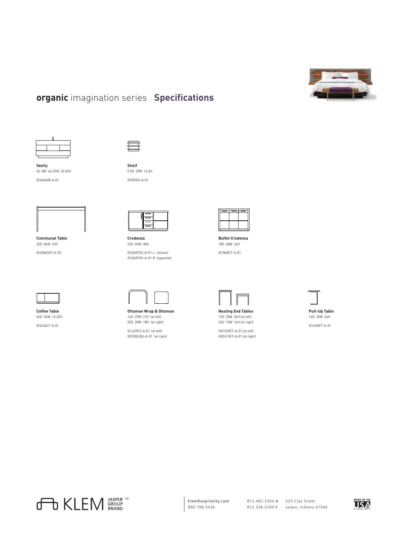



**Shelf** 9.5D 20W 16.5H

**Vanity** 24.18D 66.25W 33.25H IE2466VB-A-01





**Communal Table** 42D 84W 42H IE4284DKT-A-03



**Credenza** 22D 60W 30H IE2260TVS-A-01-L (shown) IE2260TVS-A-01-R (opposite)



**Buffet Credenza** 18D 48W 34H IE1848CT-A-01



**Nesting End Tables** 15D 20W 24H (at left) 24D 15W 14H (at right)

HX1520ET-A-01 (at left) HX2415ET-A-01 (at right)





**Coffee Table** 24D 36W 16.25H IE2436CT-A-01



20D 20W 18H (at right)

IE1429ST-A-01 (at left) IE2020LBU-A-01 (at right)